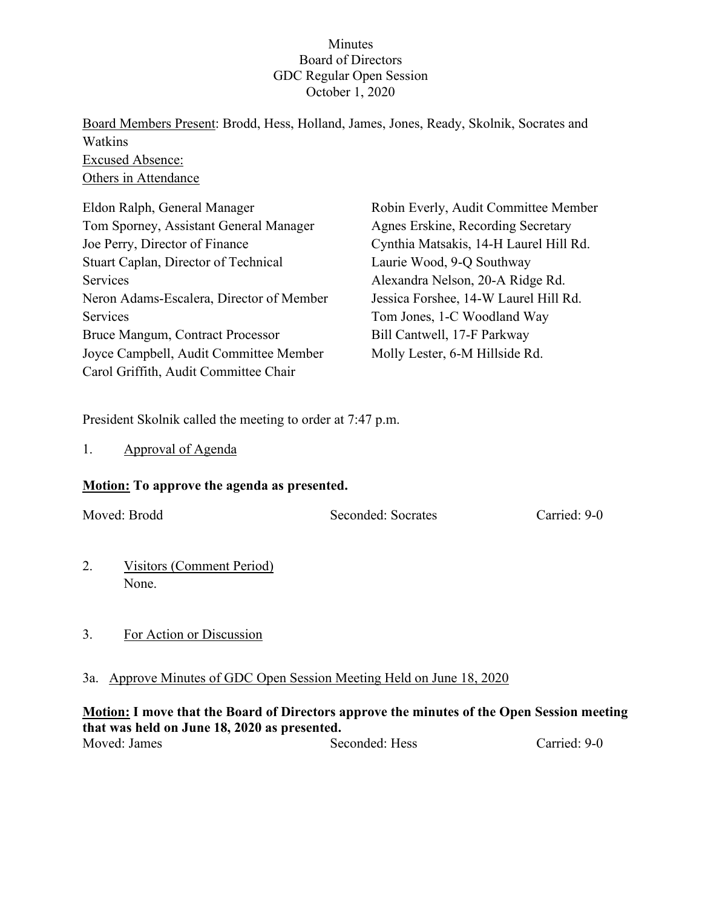# Minutes Board of Directors GDC Regular Open Session October 1, 2020

Board Members Present: Brodd, Hess, Holland, James, Jones, Ready, Skolnik, Socrates and Watkins Excused Absence: Others in Attendance

| Eldon Ralph, General Manager             | Robin Everly, Audit Committee Member   |
|------------------------------------------|----------------------------------------|
| Tom Sporney, Assistant General Manager   | Agnes Erskine, Recording Secretary     |
| Joe Perry, Director of Finance           | Cynthia Matsakis, 14-H Laurel Hill Rd. |
| Stuart Caplan, Director of Technical     | Laurie Wood, 9-Q Southway              |
| Services                                 | Alexandra Nelson, 20-A Ridge Rd.       |
| Neron Adams-Escalera, Director of Member | Jessica Forshee, 14-W Laurel Hill Rd.  |
| Services                                 | Tom Jones, 1-C Woodland Way            |
| Bruce Mangum, Contract Processor         | Bill Cantwell, 17-F Parkway            |
| Joyce Campbell, Audit Committee Member   | Molly Lester, 6-M Hillside Rd.         |
| Carol Griffith, Audit Committee Chair    |                                        |

President Skolnik called the meeting to order at 7:47 p.m.

1. Approval of Agenda

## **Motion: To approve the agenda as presented.**

Moved: Brodd Seconded: Socrates Carried: 9-0

- 2. Visitors (Comment Period) None.
- 3. For Action or Discussion

# 3a. Approve Minutes of GDC Open Session Meeting Held on June 18, 2020

# **Motion: I move that the Board of Directors approve the minutes of the Open Session meeting that was held on June 18, 2020 as presented.**

Moved: James Seconded: Hess Carried: 9-0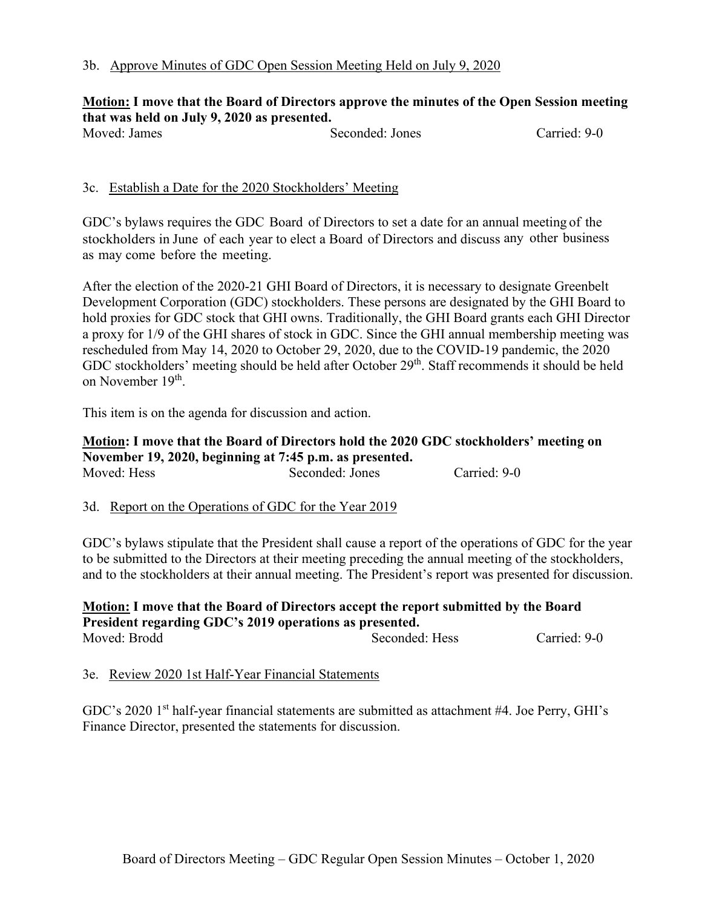# **Motion: I move that the Board of Directors approve the minutes of the Open Session meeting that was held on July 9, 2020 as presented.**

Seconded: Jones Carried: 9-0

## 3c. Establish a Date for the 2020 Stockholders' Meeting

GDC's bylaws requires the GDC Board of Directors to set a date for an annual meeting of the stockholders in June of each year to elect a Board of Directors and discuss any other business as may come before the meeting.

After the election of the 2020-21 GHI Board of Directors, it is necessary to designate Greenbelt Development Corporation (GDC) stockholders. These persons are designated by the GHI Board to hold proxies for GDC stock that GHI owns. Traditionally, the GHI Board grants each GHI Director a proxy for 1/9 of the GHI shares of stock in GDC. Since the GHI annual membership meeting was rescheduled from May 14, 2020 to October 29, 2020, due to the COVID-19 pandemic, the 2020 GDC stockholders' meeting should be held after October 29<sup>th</sup>. Staff recommends it should be held on November 19th.

This item is on the agenda for discussion and action.

#### **Motion: I move that the Board of Directors hold the 2020 GDC stockholders' meeting on November 19, 2020, beginning at 7:45 p.m. as presented.** Moved: Hess Seconded: Jones Carried: 9-0

# 3d. Report on the Operations of GDC for the Year 2019

GDC's bylaws stipulate that the President shall cause a report of the operations of GDC for the year to be submitted to the Directors at their meeting preceding the annual meeting of the stockholders, and to the stockholders at their annual meeting. The President's report was presented for discussion.

# **Motion: I move that the Board of Directors accept the report submitted by the Board President regarding GDC's 2019 operations as presented.** Moved: Brodd Seconded: Hess Carried: 9-0

3e. Review 2020 1st Half-Year Financial Statements

GDC's 2020 1<sup>st</sup> half-year financial statements are submitted as attachment #4. Joe Perry, GHI's Finance Director, presented the statements for discussion.